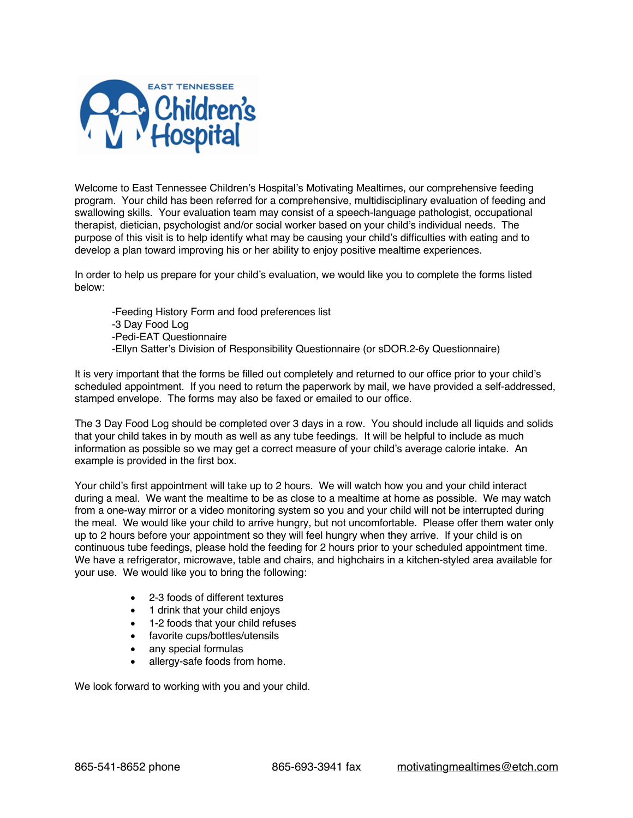

Welcome to East Tennessee Children's Hospital's Motivating Mealtimes, our comprehensive feeding program. Your child has been referred for a comprehensive, multidisciplinary evaluation of feeding and swallowing skills. Your evaluation team may consist of a speech-language pathologist, occupational therapist, dietician, psychologist and/or social worker based on your child's individual needs. The purpose of this visit is to help identify what may be causing your child's difficulties with eating and to develop a plan toward improving his or her ability to enjoy positive mealtime experiences.

In order to help us prepare for your child's evaluation, we would like you to complete the forms listed below:

-Feeding History Form and food preferences list -3 Day Food Log -Pedi-EAT Questionnaire -Ellyn Satter's Division of Responsibility Questionnaire (or sDOR.2-6y Questionnaire)

It is very important that the forms be filled out completely and returned to our office prior to your child's scheduled appointment. If you need to return the paperwork by mail, we have provided a self-addressed, stamped envelope. The forms may also be faxed or emailed to our office.

The 3 Day Food Log should be completed over 3 days in a row. You should include all liquids and solids that your child takes in by mouth as well as any tube feedings. It will be helpful to include as much information as possible so we may get a correct measure of your child's average calorie intake. An example is provided in the first box.

Your child's first appointment will take up to 2 hours. We will watch how you and your child interact during a meal. We want the mealtime to be as close to a mealtime at home as possible. We may watch from a one-way mirror or a video monitoring system so you and your child will not be interrupted during the meal. We would like your child to arrive hungry, but not uncomfortable. Please offer them water only up to 2 hours before your appointment so they will feel hungry when they arrive. If your child is on continuous tube feedings, please hold the feeding for 2 hours prior to your scheduled appointment time. We have a refrigerator, microwave, table and chairs, and highchairs in a kitchen-styled area available for your use. We would like you to bring the following:

- 2-3 foods of different textures
- 1 drink that your child enjoys
- 1-2 foods that your child refuses
- favorite cups/bottles/utensils
- any special formulas
- allergy-safe foods from home.

We look forward to working with you and your child.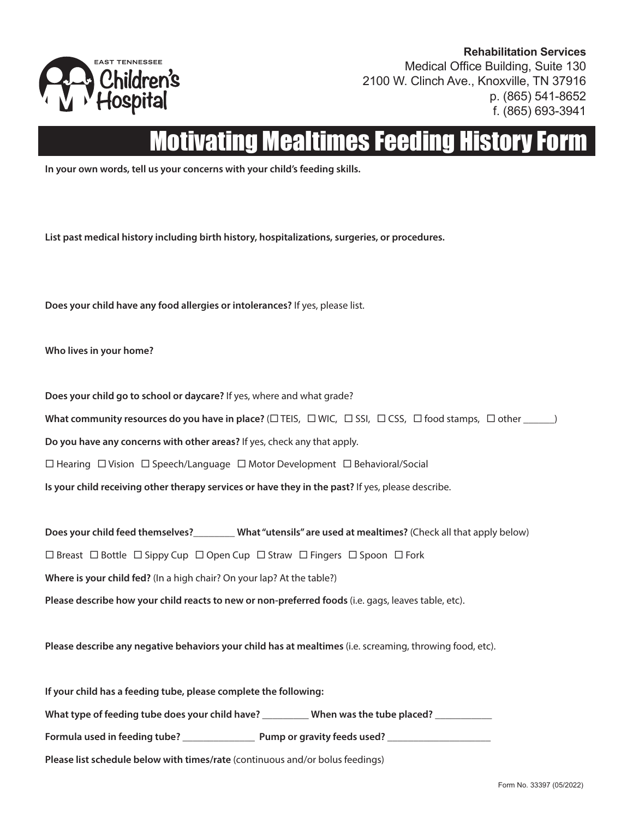

**Rehabilitation Services** Medical Office Building, Suite 130 2100 W. Clinch Ave., Knoxville, TN 37916 p. (865) 541-8652 f. (865) 693-3941

# vating Mealtimes Feeding

**In your own words, tell us your concerns with your child's feeding skills.**

**List past medical history including birth history, hospitalizations, surgeries, or procedures.**

**Does your child have any food allergies or intolerances?** If yes, please list.

**Who lives in your home?**

**Does your child go to school or daycare?** If yes, where and what grade?

**What community resources do you have in place?** ( $\Box$  TEIS,  $\Box$  WIC,  $\Box$  SSI,  $\Box$  CSS,  $\Box$  food stamps,  $\Box$  other \_\_\_\_\_)

**Do you have any concerns with other areas?** If yes, check any that apply.

 $\Box$  Hearing  $\Box$  Vision  $\Box$  Speech/Language  $\Box$  Motor Development  $\Box$  Behavioral/Social

**Is your child receiving other therapy services or have they in the past?** If yes, please describe.

**Does your child feed themselves?**\_\_\_\_\_\_\_\_ **What "utensils" are used at mealtimes?** (Check all that apply below)

 $\Box$  Breast  $\Box$  Bottle  $\Box$  Sippy Cup  $\Box$  Open Cup  $\Box$  Straw  $\Box$  Fingers  $\Box$  Spoon  $\Box$  Fork

**Where is your child fed?** (In a high chair? On your lap? At the table?)

**Please describe how your child reacts to new or non-preferred foods** (i.e. gags, leaves table, etc).

**Please describe any negative behaviors your child has at mealtimes** (i.e. screaming, throwing food, etc).

**If your child has a feeding tube, please complete the following: What type of feeding tube does your child have?** \_\_\_\_\_\_\_\_\_ **When was the tube placed?** \_\_\_\_\_\_\_\_\_\_\_ Formula used in feeding tube? \_\_\_\_\_\_\_\_\_\_\_\_\_\_\_\_\_\_\_\_\_\_ Pump or gravity feeds used? \_\_ **Please list schedule below with times/rate** (continuous and/or bolus feedings)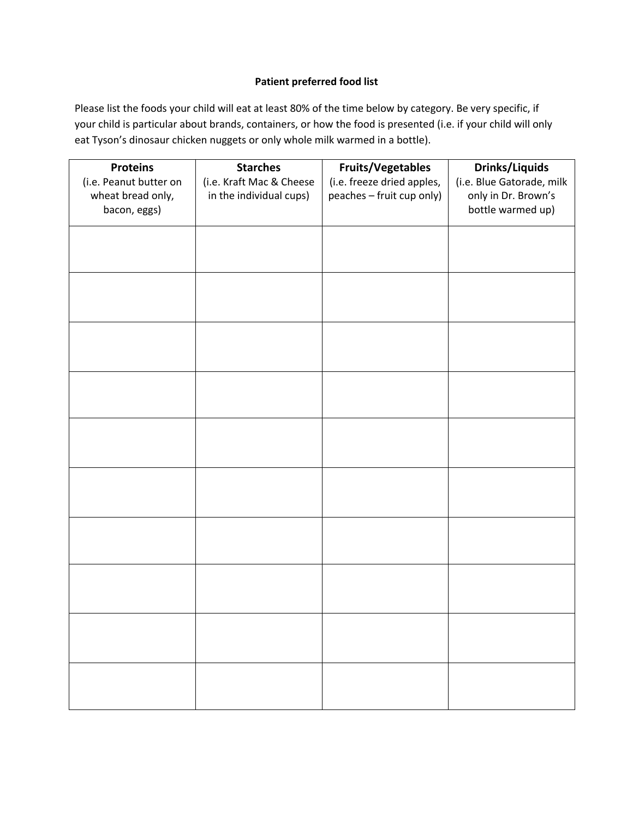### **Patient preferred food list**

Please list the foods your child will eat at least 80% of the time below by category. Be very specific, if your child is particular about brands, containers, or how the food is presented (i.e. if your child will only eat Tyson's dinosaur chicken nuggets or only whole milk warmed in a bottle).

| <b>Proteins</b><br>(i.e. Peanut butter on<br>wheat bread only,<br>bacon, eggs) | <b>Starches</b><br>(i.e. Kraft Mac & Cheese<br>in the individual cups) | <b>Fruits/Vegetables</b><br>(i.e. freeze dried apples,<br>peaches - fruit cup only) | <b>Drinks/Liquids</b><br>(i.e. Blue Gatorade, milk<br>only in Dr. Brown's<br>bottle warmed up) |
|--------------------------------------------------------------------------------|------------------------------------------------------------------------|-------------------------------------------------------------------------------------|------------------------------------------------------------------------------------------------|
|                                                                                |                                                                        |                                                                                     |                                                                                                |
|                                                                                |                                                                        |                                                                                     |                                                                                                |
|                                                                                |                                                                        |                                                                                     |                                                                                                |
|                                                                                |                                                                        |                                                                                     |                                                                                                |
|                                                                                |                                                                        |                                                                                     |                                                                                                |
|                                                                                |                                                                        |                                                                                     |                                                                                                |
|                                                                                |                                                                        |                                                                                     |                                                                                                |
|                                                                                |                                                                        |                                                                                     |                                                                                                |
|                                                                                |                                                                        |                                                                                     |                                                                                                |
|                                                                                |                                                                        |                                                                                     |                                                                                                |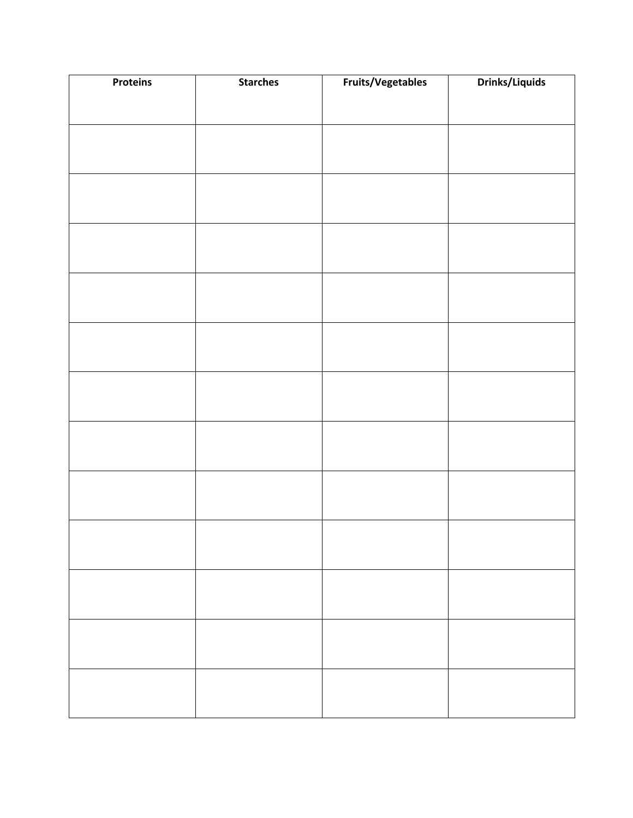| <b>Proteins</b> | <b>Starches</b> | Fruits/Vegetables | <b>Drinks/Liquids</b> |
|-----------------|-----------------|-------------------|-----------------------|
|                 |                 |                   |                       |
|                 |                 |                   |                       |
|                 |                 |                   |                       |
|                 |                 |                   |                       |
|                 |                 |                   |                       |
|                 |                 |                   |                       |
|                 |                 |                   |                       |
|                 |                 |                   |                       |
|                 |                 |                   |                       |
|                 |                 |                   |                       |
|                 |                 |                   |                       |
|                 |                 |                   |                       |
|                 |                 |                   |                       |
|                 |                 |                   |                       |
|                 |                 |                   |                       |
|                 |                 |                   |                       |
|                 |                 |                   |                       |
|                 |                 |                   |                       |
|                 |                 |                   |                       |
|                 |                 |                   |                       |
|                 |                 |                   |                       |
|                 |                 |                   |                       |
|                 |                 |                   |                       |
|                 |                 |                   |                       |
|                 |                 |                   |                       |
|                 |                 |                   |                       |
|                 |                 |                   |                       |
|                 |                 |                   |                       |
|                 |                 |                   |                       |
|                 |                 |                   |                       |
|                 |                 |                   |                       |
|                 |                 |                   |                       |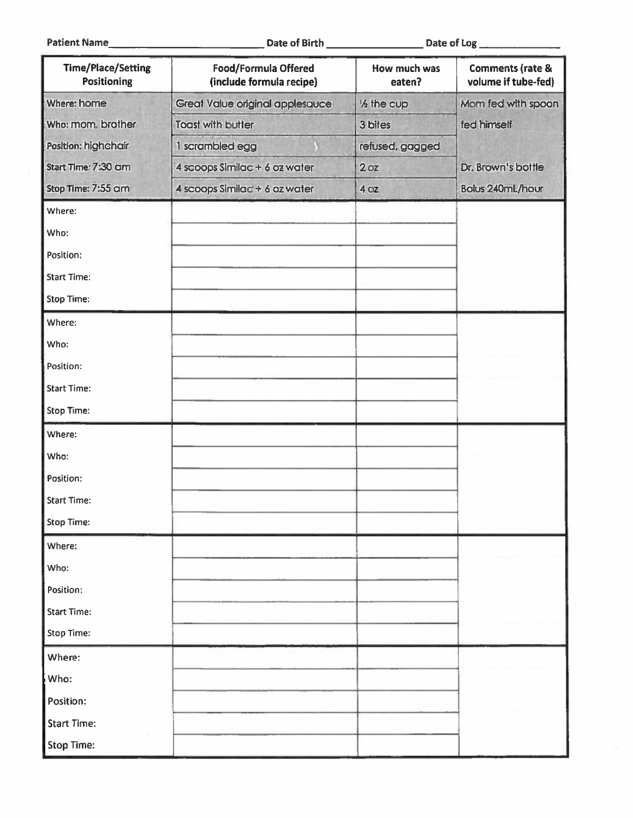| <b>Time/Place/Setting</b><br><b>Positioning</b> | Food/Formula Offered<br>(include formula recipe) | How much was<br>eaten?  | <b>Comments (rate &amp;</b><br>volume if tube-fed) |
|-------------------------------------------------|--------------------------------------------------|-------------------------|----------------------------------------------------|
| Where: home                                     | Great Value original applesauce                  | 1/ <sub>2</sub> the cup | Mom fed with spoon                                 |
| Who: mom, brother                               | <b>Toast with butter</b>                         | 3 bites                 | fed himself                                        |
| Position: highchair                             | 1 scrambled egg                                  | refused, gagged         |                                                    |
| Start Time: 7:30 cm                             | 4 scoops Similac + 6 oz water                    | 2 <sub>oz</sub>         | Dr. Brown's bottle                                 |
| Stop Time: 7:55 cm                              | 4 scoops Similac + 6 oz water                    | 4 oz                    | Bolus 240mL/hour                                   |
| Where:                                          |                                                  |                         |                                                    |
| Who:                                            |                                                  |                         |                                                    |
| Position:                                       |                                                  |                         |                                                    |
| <b>Start Time:</b>                              |                                                  |                         |                                                    |
| <b>Stop Time:</b>                               |                                                  |                         |                                                    |
| Where:                                          |                                                  |                         |                                                    |
| Who:                                            |                                                  |                         |                                                    |
| Position:                                       |                                                  |                         |                                                    |
| <b>Start Time:</b>                              |                                                  |                         |                                                    |
| Stop Time:                                      |                                                  |                         |                                                    |
| Where:                                          |                                                  |                         |                                                    |
| Who:                                            |                                                  |                         |                                                    |
| Position:                                       |                                                  |                         |                                                    |
| <b>Start Time:</b>                              |                                                  |                         |                                                    |
| <b>Stop Time:</b>                               |                                                  |                         |                                                    |
| Where:                                          |                                                  |                         |                                                    |
| Who:                                            |                                                  |                         |                                                    |
| Position:                                       |                                                  |                         |                                                    |
| <b>Start Time:</b>                              |                                                  |                         |                                                    |
| <b>Stop Time:</b>                               |                                                  |                         |                                                    |
| Where:                                          |                                                  |                         |                                                    |
| Who:                                            |                                                  |                         |                                                    |
| Position:                                       |                                                  |                         |                                                    |
| <b>Start Time:</b>                              |                                                  |                         |                                                    |
| <b>Stop Time:</b>                               |                                                  |                         |                                                    |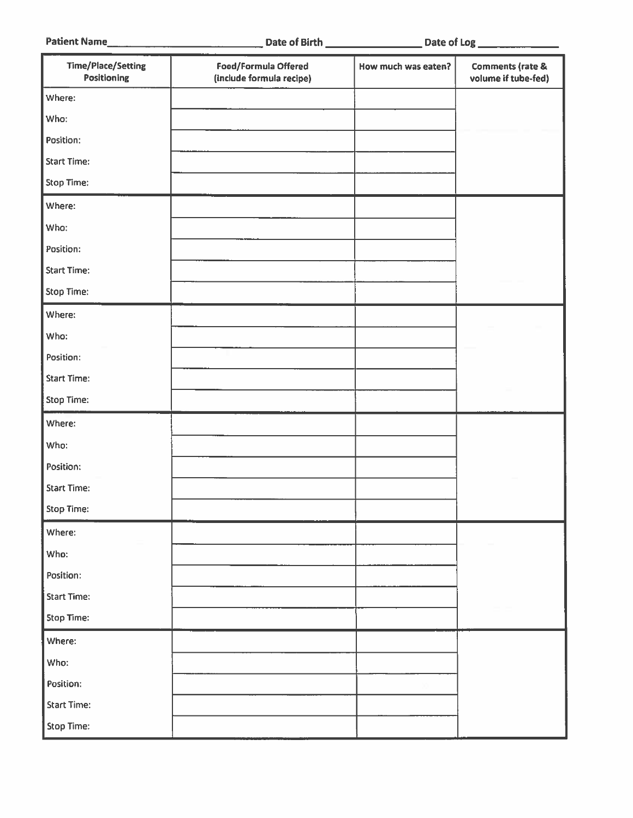| <b>Patient Name</b> |  |
|---------------------|--|
|---------------------|--|

| <b>Time/Place/Setting</b><br>Positioning | Food/Formula Offered<br>(include formula recipe) | How much was eaten? | <b>Comments (rate &amp;</b><br>volume if tube-fed) |
|------------------------------------------|--------------------------------------------------|---------------------|----------------------------------------------------|
| Where:                                   |                                                  |                     |                                                    |
| Who:                                     |                                                  |                     |                                                    |
| Position:                                |                                                  |                     |                                                    |
| <b>Start Time:</b>                       |                                                  |                     |                                                    |
| Stop Time:                               |                                                  |                     |                                                    |
| Where:                                   |                                                  |                     |                                                    |
| Who:                                     |                                                  |                     |                                                    |
| Position:                                |                                                  |                     |                                                    |
| <b>Start Time:</b>                       |                                                  |                     |                                                    |
| <b>Stop Time:</b>                        |                                                  |                     |                                                    |
| Where:                                   |                                                  |                     |                                                    |
| Who:                                     |                                                  |                     |                                                    |
| Position:                                |                                                  |                     |                                                    |
| <b>Start Time:</b>                       |                                                  |                     |                                                    |
| <b>Stop Time:</b>                        |                                                  |                     |                                                    |
| Where:                                   |                                                  |                     |                                                    |
| Who:                                     |                                                  |                     |                                                    |
| Position:                                |                                                  |                     |                                                    |
| <b>Start Time:</b>                       |                                                  |                     |                                                    |
| <b>Stop Time:</b>                        |                                                  |                     |                                                    |
| Where:                                   |                                                  |                     |                                                    |
| Who:                                     |                                                  |                     |                                                    |
| Position:                                |                                                  |                     |                                                    |
| <b>Start Time:</b>                       |                                                  |                     |                                                    |
| Stop Time:                               |                                                  |                     |                                                    |
| Where:                                   |                                                  |                     |                                                    |
| Who:                                     |                                                  |                     |                                                    |
| Position:                                |                                                  |                     |                                                    |
| <b>Start Time:</b>                       |                                                  |                     |                                                    |
| Stop Time:                               |                                                  |                     |                                                    |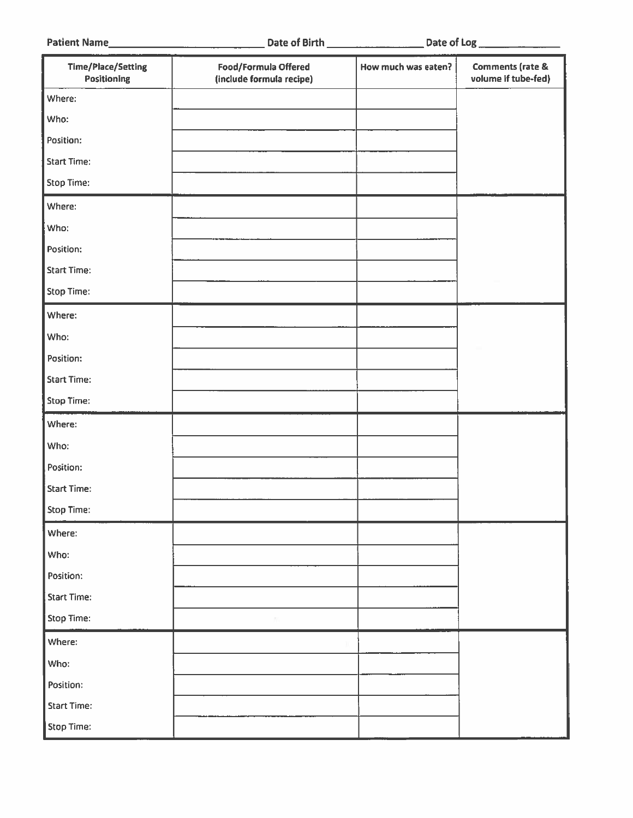Patient Name

|  |  |  | <b>Date of Birth</b> |  |
|--|--|--|----------------------|--|
|--|--|--|----------------------|--|

| <b>Time/Place/Setting</b><br>Positioning | Food/Formula Offered<br>(include formula recipe) | How much was eaten? | <b>Comments (rate &amp;</b><br>volume if tube-fed) |
|------------------------------------------|--------------------------------------------------|---------------------|----------------------------------------------------|
| Where:                                   |                                                  |                     |                                                    |
| Who:                                     |                                                  |                     |                                                    |
| Position:                                |                                                  |                     |                                                    |
| <b>Start Time:</b>                       |                                                  |                     |                                                    |
| Stop Time:                               |                                                  |                     |                                                    |
| Where:                                   |                                                  |                     |                                                    |
| Who:                                     |                                                  |                     |                                                    |
| Position:                                |                                                  |                     |                                                    |
| <b>Start Time:</b>                       |                                                  |                     |                                                    |
| <b>Stop Time:</b>                        |                                                  |                     |                                                    |
| Where:                                   |                                                  |                     |                                                    |
| Who:                                     |                                                  |                     |                                                    |
| Position:                                |                                                  |                     |                                                    |
| <b>Start Time:</b>                       |                                                  |                     |                                                    |
| <b>Stop Time:</b>                        |                                                  |                     |                                                    |
| Where:                                   |                                                  |                     |                                                    |
| Who:                                     |                                                  |                     |                                                    |
| Position:                                |                                                  |                     |                                                    |
| <b>Start Time:</b>                       |                                                  |                     |                                                    |
| Stop Time:                               |                                                  |                     |                                                    |
| Where:                                   |                                                  |                     |                                                    |
| Who:                                     |                                                  |                     |                                                    |
| Position:                                |                                                  |                     |                                                    |
| <b>Start Time:</b>                       |                                                  |                     |                                                    |
| Stop Time:                               |                                                  |                     |                                                    |
| Where:                                   |                                                  |                     |                                                    |
| Who:                                     |                                                  |                     |                                                    |
| Position:                                |                                                  |                     |                                                    |
| <b>Start Time:</b>                       |                                                  |                     |                                                    |
| Stop Time:                               |                                                  |                     |                                                    |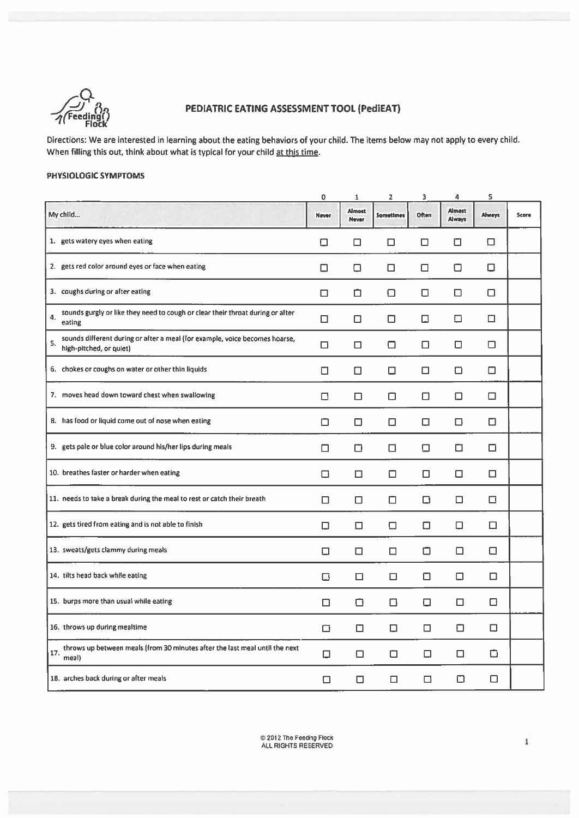

## PEDIATRIC EATING ASSESSMENT TOOL (PediEAT)

Directions: We are interested in learning about the eating behaviors of your child. The items below may not apply to every child. When filling this out, think about what is typical for your child at this time.

#### PHYSIOLOGIC SYMPTOMS

|                                                                                                              | 0      | $\mathbf{1}$           | 2                | 3      | 4                       | 5      |       |
|--------------------------------------------------------------------------------------------------------------|--------|------------------------|------------------|--------|-------------------------|--------|-------|
| My child                                                                                                     | Never  | <b>Almost</b><br>Never | <b>Sometimes</b> | Often  | <b>Almost</b><br>Always | Always | Score |
| 1. gets watery eyes when eating                                                                              | □      | □                      | □                | □      | о                       | ◘      |       |
| 2. gets red color around eyes or face when eating                                                            | ⊡      | □                      | □                | □      | ◘                       | □      |       |
| 3. coughs during or after eating                                                                             | □      | ◘                      | ⊡                | □      | □                       | □      |       |
| sounds gurgly or like they need to cough or clear their throat during or after<br>4.<br>eating               | □      | □                      | ◻                | $\Box$ | □                       | □      |       |
| sounds different during or after a meal (for example, voice becomes hoarse,<br>5.<br>high-pitched, or quiet) | □      | □                      | ◘                | □      | □                       | □      |       |
| 6. chokes or coughs on water or other thin liquids                                                           | ◻      | □                      | ◻                | □      | □                       | □      |       |
| 7. moves head down toward chest when swallowing                                                              | □      | □                      | ◻                | □      | ◻                       | □      |       |
| 8. has food or liquid come out of nose when eating                                                           | ◻      | ◻                      | ◻                | □      | □                       | □      |       |
| 9. gets pale or blue color around his/her lips during meals                                                  | □      | ◻                      | □                | □      | □                       | $\Box$ |       |
| 10. breathes faster or harder when eating                                                                    | □      | □                      | □                | □      | □                       | $\Box$ |       |
| 11. needs to take a break during the meal to rest or catch their breath                                      | □      | □                      | □                | □      | □                       | $\Box$ |       |
| 12. gets tired from eating and is not able to finish                                                         | $\Box$ | $\Box$                 | ◘                | $\Box$ | о                       | $\Box$ |       |
| 13. sweats/gets clammy during meals                                                                          | о      | □                      | □                | о      | □                       | $\Box$ |       |
| 14. tilts head back while eating                                                                             | □      | □                      | □                | $\Box$ | $\Box$                  | $\Box$ |       |
| 15. burps more than usual while eating                                                                       | □      | $\Box$                 | $\Box$           | $\Box$ | $\Box$                  | □      |       |
| 16. throws up during mealtime                                                                                | ◻      | ◻                      | □                | □      | O                       | □      |       |
| throws up between meals (from 30 minutes after the last meal until the next<br>17.<br>meal)                  | □      | □                      | ▭                | □      | □                       | ◻      |       |
| 18. arches back during or after meals                                                                        | □      | $\Box$                 | □                | □      | ⊡                       | $\Box$ |       |
|                                                                                                              |        |                        |                  |        |                         |        |       |

 $\mathbf 1$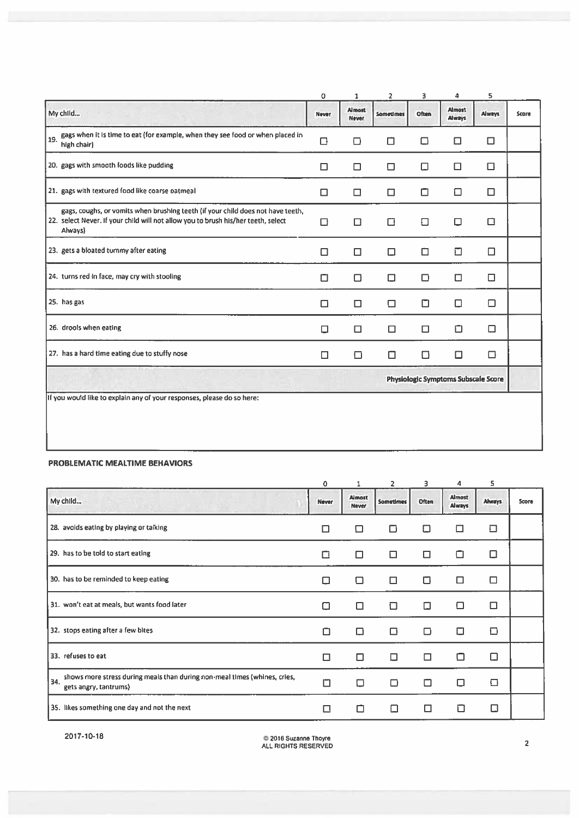|                                                                                                                                                                                 | 0                                          | 1                             | 2         | 3     | 4                              | 5             |              |  |
|---------------------------------------------------------------------------------------------------------------------------------------------------------------------------------|--------------------------------------------|-------------------------------|-----------|-------|--------------------------------|---------------|--------------|--|
| My child                                                                                                                                                                        | Never                                      | <b>Almost</b><br><b>Never</b> | Sometimes | Often | <b>Almost</b><br><b>Always</b> | <b>Always</b> | <b>Score</b> |  |
| gags when it is time to eat {for example, when they see food or when placed in<br>19.<br>high chair)                                                                            | □                                          | ⊓                             | П         | □     | □                              | □             |              |  |
| 20. gags with smooth foods like pudding                                                                                                                                         | □                                          | □                             | □         | □     | □                              | □             |              |  |
| 21. gags with textured food like coarse oatmeal                                                                                                                                 | □                                          | □                             | □         | □     | □                              | □             |              |  |
| gags, coughs, or vomits when brushing teeth (if your child does not have teeth,<br>22. select Never. If your child will not allow you to brush his/her teeth, select<br>Always) | □                                          | ◻                             | □         | □     | □                              | п             |              |  |
| 23. gets a bloated tummy after eating                                                                                                                                           | □                                          | □                             | □         | □     | П                              | □             |              |  |
| 24. turns red in face, may cry with stooling                                                                                                                                    | □                                          | ◘                             | □         | П     | П                              | □             |              |  |
| 25. has gas                                                                                                                                                                     | □                                          | □                             | П         | п     | □                              | ◘             |              |  |
| 26. drools when eating                                                                                                                                                          | □                                          | □                             | □         | □     | □                              | □             |              |  |
| 27. has a hard time eating due to stuffy nose                                                                                                                                   | □                                          | ◻                             | □         | П     | □                              | □             |              |  |
|                                                                                                                                                                                 | <b>Physiologic Symptoms Subscale Score</b> |                               |           |       |                                |               |              |  |
| If you would like to explain any of your responses, please do so here:                                                                                                          |                                            |                               |           |       |                                |               |              |  |
|                                                                                                                                                                                 |                                            |                               |           |       |                                |               |              |  |

#### PROBLEMATIC MEALTIME BEHAVIORS

| $\mathbf 0$  | 1               | $\overline{2}$ | 3     | 4                       | 5             |       |
|--------------|-----------------|----------------|-------|-------------------------|---------------|-------|
| <b>Never</b> | Almost<br>Never | Sometimes      | Often | <b>Almost</b><br>Always | <b>Always</b> | Score |
| □            | П               | □              | □     | □                       | 口             |       |
| □            | п               | □              | □     | □                       | □             |       |
| □            | П               | П              | □     | □                       | □             |       |
| П            | П               | Π              | П     | □                       | □             |       |
| п            | □               | П              | п     | □                       | ⊡             |       |
| □            | ◻               | О              | п     | $\Box$                  | □             |       |
| $\Box$       | ⊡               | ⊓              | n     | □                       | ◘             |       |
| □            | ◻               | □              | □     | □                       | Ω             |       |
|              |                 |                |       |                         |               |       |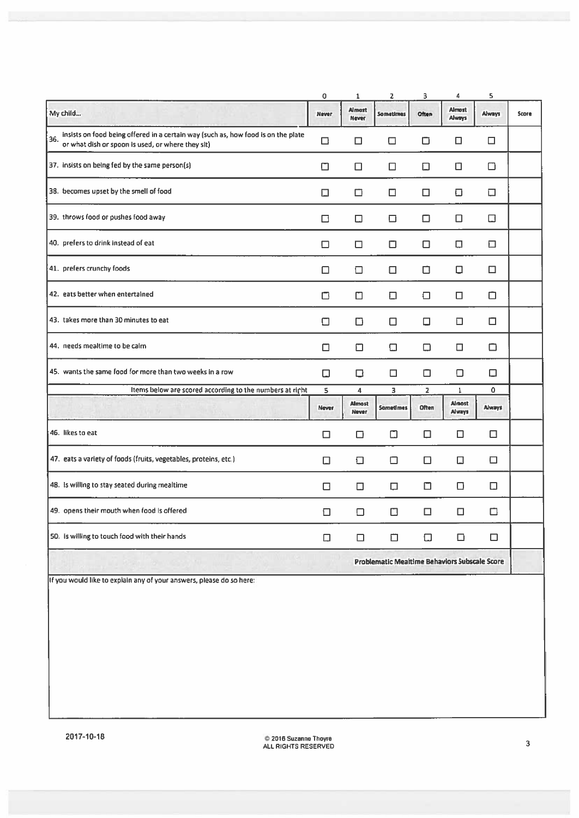|                                                                                                                                               | $\overline{0}$ | $\mathbf{1}$                  | $\overline{z}$                                       | 3              | 4                              | 5             |       |
|-----------------------------------------------------------------------------------------------------------------------------------------------|----------------|-------------------------------|------------------------------------------------------|----------------|--------------------------------|---------------|-------|
| My child                                                                                                                                      | <b>Never</b>   | <b>Almost</b><br><b>Never</b> | <b>Sometimes</b>                                     | Often          | <b>Almost</b><br><b>Always</b> | <b>Always</b> | Score |
| insists on food being offered in a certain way (such as, how food is on the plate<br>36.<br>or what dish or spoon is used, or where they sit) | $\Box$         | □                             | □                                                    | ◘              | ◻                              | □             |       |
| 37. Insists on being fed by the same person(s)                                                                                                | □              | □                             | □                                                    | $\Box$         | □                              | ◻             |       |
| 38. becomes upset by the smell of food                                                                                                        | □              | □                             | □                                                    | П              | ⊡                              | □             |       |
| 39. throws food or pushes food away                                                                                                           | □              | □                             | □                                                    | $\Box$         | П                              | □             |       |
| 40. prefers to drink instead of eat                                                                                                           | ⊓              | □                             | □                                                    | □              | □                              | □             |       |
| 41. prefers crunchy foods                                                                                                                     | □              | □                             | □                                                    | ◘              | □                              | □             |       |
| 42. eats better when entertained                                                                                                              | □              | □                             | ⊡                                                    | □              | □                              | ▭             |       |
| 43. takes more than 30 minutes to eat                                                                                                         | П              | □                             | п                                                    | □              | □                              | □             |       |
| 44. needs mealtime to be calm                                                                                                                 | п              | ⊡                             | Ω                                                    | □              | □                              | ◘             |       |
| 45. wants the same food for more than two weeks in a row                                                                                      | □              | □                             | □                                                    | о              | ◘                              | □             |       |
| Items below are scored according to the numbers at right                                                                                      | 5              | $\overline{\mathbf{4}}$       | 3                                                    | $\overline{2}$ | $\overline{\mathbf{1}}$        | $\Omega$      |       |
| NY 36                                                                                                                                         | <b>Never</b>   | <b>Almost</b><br><b>Never</b> | Sometimes                                            | Often          | Almost<br>Always               | <b>Always</b> |       |
| 46. likes to eat                                                                                                                              | □              | ◻                             | ◻                                                    | □              | □                              | □             |       |
| 47. eats a variety of foods (fruits, vegetables, proteins, etc.)                                                                              | □              | ⊡                             | ▭                                                    | 0              | Ω                              | □             |       |
| 48. Is willing to stay seated during mealtime                                                                                                 | □              | ◻                             | □                                                    | $\Box$         | 0                              | Ω.            |       |
| 49. opens their mouth when food is offered                                                                                                    | □              | □                             | □                                                    | $\Box$         | П                              | □             |       |
| 50. is willing to touch food with their hands                                                                                                 | □              | □                             | □                                                    | Ω              | □                              | □             |       |
| <b>STELL</b>                                                                                                                                  |                |                               | <b>Problematic Mealtime Behaviors Subscale Score</b> |                |                                |               |       |
| If you would like to explain any of your answers, please do so here:                                                                          |                |                               |                                                      |                |                                |               |       |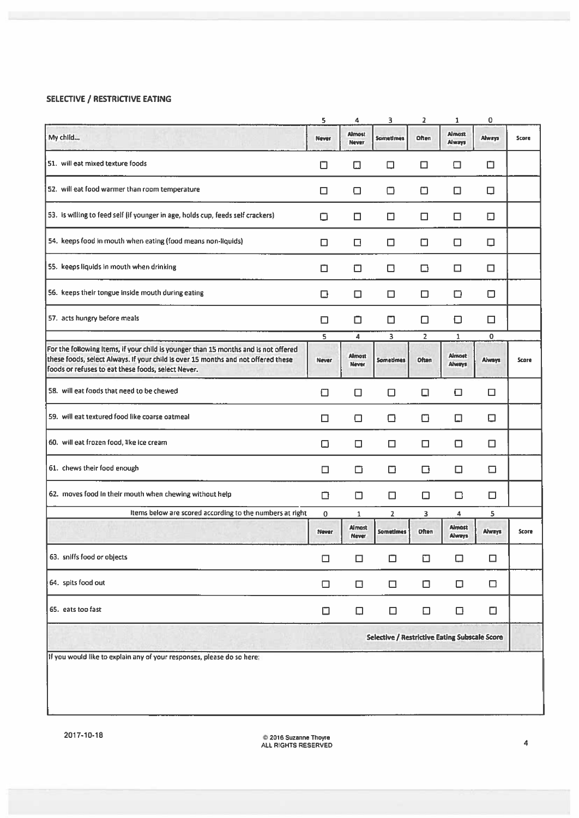#### SELECTIVE / RESTRICTIVE EATING

|                                                                                                                                                                                                                                | 5            | 4                      | з                                                    | 2              | 1                              | 0      |       |
|--------------------------------------------------------------------------------------------------------------------------------------------------------------------------------------------------------------------------------|--------------|------------------------|------------------------------------------------------|----------------|--------------------------------|--------|-------|
| My child                                                                                                                                                                                                                       | Never        | Almost<br><b>Never</b> | Sometimes                                            | Often          | Almost<br>Always               | Always | Score |
| 51. will eat mixed texture foods                                                                                                                                                                                               | □            | ◫                      | □                                                    | $\Box$         | □                              | ◘      |       |
| 52. will eat food warmer than room temperature                                                                                                                                                                                 | □            | $\Box$                 | □                                                    | $\Box$         | □                              | $\Box$ |       |
| 53. Is willing to feed self (if younger in age, holds cup, feeds self crackers)                                                                                                                                                | $\Box$       | □                      | ⊡                                                    | □              | □                              | $\Box$ |       |
| 54. keeps food in mouth when eating (food means non-liquids)                                                                                                                                                                   | □            | □                      | □                                                    | □              | ◘                              | □      |       |
| 55. keeps liquids in mouth when drinking                                                                                                                                                                                       | ◻            | ο                      | □                                                    | ◘              | □                              | □      |       |
| 56. keeps their tongue inside mouth during eating                                                                                                                                                                              | □            | О                      | □                                                    | □              | ◻                              | $\Box$ |       |
| 57. acts hungry before meals                                                                                                                                                                                                   | □            | ◘                      | □                                                    | □              | ◘                              | □      |       |
|                                                                                                                                                                                                                                | 5            | 4                      | 3                                                    | $\overline{2}$ | 1                              | 0      |       |
| For the following Items, if your child is younger than 15 months and is not offered<br>these foods, select Always. If your child is over 15 months and not offered these<br>foods or refuses to eat these foods, select Never. | <b>Never</b> | Almost<br>Never        | Sometimes                                            | Often          | Almost<br><b>Always</b>        | Always | Score |
| 58. will eat foods that need to be chewed                                                                                                                                                                                      | ⊡            | □                      | □                                                    | □              | ◘                              | □      |       |
| 59. will eat textured food like coarse oatmeal                                                                                                                                                                                 | □            | □                      | ο                                                    | □              | ◻                              | ο      |       |
| 60. will eat frozen food, like ice cream                                                                                                                                                                                       | о            | ◘                      | □                                                    | □              | ⊡                              | □      |       |
| 61. chews their food enough                                                                                                                                                                                                    | □            | $\Box$                 | □                                                    | ◘              | □                              | ⊡      |       |
| 62. moves food in their mouth when chewing without help                                                                                                                                                                        | □            | ◻                      | □                                                    | □              | □                              | ◻      |       |
| Items below are scored according to the numbers at right                                                                                                                                                                       | 0            | $\mathbf{1}$           | $\overline{2}$                                       | 3              | 4                              | 5      |       |
|                                                                                                                                                                                                                                | Never        | Almost<br>Never        | <b>Sometimes</b>                                     | <b>Often</b>   | <b>Almost</b><br><b>Always</b> | Always | Score |
| 63. sniffs food or objects                                                                                                                                                                                                     | □            | $\Box$                 | $\Box$                                               | $\Box$         | ο                              | $\Box$ |       |
| 64. spits food out                                                                                                                                                                                                             | $\Box$       | $\Box$                 | $\Box$                                               | $\Box$         | О                              | $\Box$ |       |
| 65. eats too fast                                                                                                                                                                                                              | $\Box$       | $\Box$                 | $\Box$                                               | $\Box$         | □                              | $\Box$ |       |
|                                                                                                                                                                                                                                |              |                        | <b>Selective / Restrictive Eating Subscale Score</b> |                |                                |        |       |
| If you would like to explain any of your responses, please do so here:                                                                                                                                                         |              |                        |                                                      |                |                                |        |       |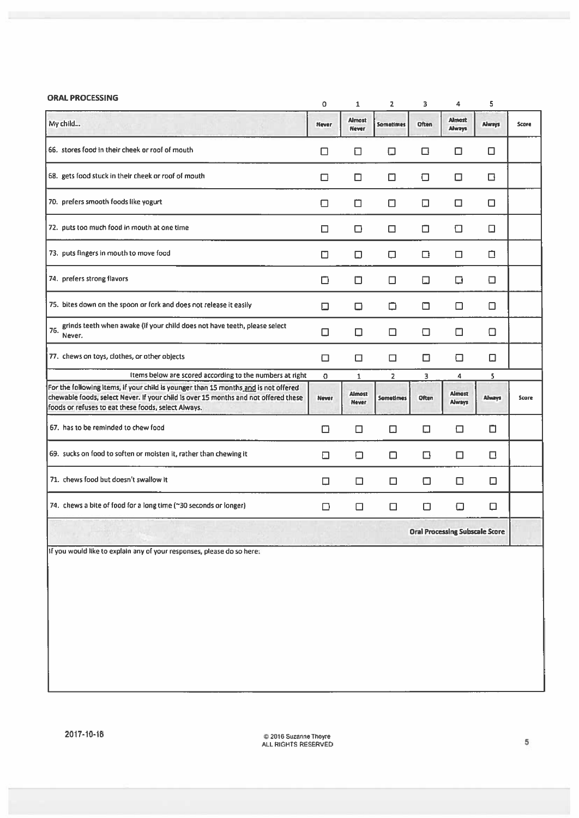| <b>ORAL PROCESSING</b>                                                                                                                                                                                                            | $\Omega$ | $\mathbf{1}$                          | $\overline{2}$   | 3      | 4                              | 5      |       |
|-----------------------------------------------------------------------------------------------------------------------------------------------------------------------------------------------------------------------------------|----------|---------------------------------------|------------------|--------|--------------------------------|--------|-------|
| My child                                                                                                                                                                                                                          | Never    | <b>Almost</b><br>Never                | <b>Sometimes</b> | Often  | <b>Almost</b><br><b>Always</b> | Always | Score |
| 66. stores food in their cheek or roof of mouth                                                                                                                                                                                   | □        | □                                     | □                | □      | ◘                              | □      |       |
| 68. gets food stuck in their cheek or roof of mouth                                                                                                                                                                               | □        | ◘                                     | □                | □      | □                              | ◘      |       |
| 70. prefers smooth foods like yogurt                                                                                                                                                                                              | □        | ่                                     | ⊡                | □      | □                              | □      |       |
| 72. puts too much food in mouth at one time                                                                                                                                                                                       | □        | □                                     | □                | □      | □                              | □      |       |
| 73. puts fingers in mouth to move food                                                                                                                                                                                            | □        | $\Box$                                | □                | □      | □                              | ◘      |       |
| 74. prefers strong flavors                                                                                                                                                                                                        | ◻        | $\Box$                                | □                | □      | ο                              | □      |       |
| 75. bites down on the spoon or fork and does not release it easily                                                                                                                                                                | □        | ◻                                     | ◻                | □      | □                              | ◻      |       |
| grinds teeth when awake (if your child does not have teeth, please select<br>76.<br>Never.                                                                                                                                        | □        | □                                     | □                | □      | □                              | □      |       |
| 77. chews on toys, clothes, or other objects                                                                                                                                                                                      | □        | □                                     | □                | □      | □                              | П      |       |
| Items below are scored according to the numbers at right                                                                                                                                                                          | 0        | $\mathbf{1}$                          | $\overline{2}$   | з      | 4                              | 5      |       |
| For the following items, if your child is younger than 15 months and is not offered<br>chewable foods, select Never. If your child is over 15 months and not offered these<br>foods or refuses to eat these foods, select Always. | Never    | Almost<br>Never                       | Sometimes        | Often  | Almost<br>Always               | Always | Score |
| 67. has to be reminded to chew food                                                                                                                                                                                               | ◻        | ◻                                     | ⊡                | □      | ◻                              | □      |       |
| 69. sucks on food to soften or moisten it, rather than chewing it                                                                                                                                                                 | ⊡        | о                                     | ◻                | □      | □                              | □      |       |
| 71. chews food but doesn't swallow it                                                                                                                                                                                             | □        | □                                     | □                | $\Box$ | □                              | $\Box$ |       |
| 74. chews a bite of food for a long time (~30 seconds or longer)                                                                                                                                                                  | ◻        | □                                     | □                | ◘      | Ω                              | □      |       |
|                                                                                                                                                                                                                                   |          | <b>Oral Processing Subscale Score</b> |                  |        |                                |        |       |
| If you would like to explain any of your responses, please do so here:                                                                                                                                                            |          |                                       |                  |        |                                |        |       |
|                                                                                                                                                                                                                                   |          |                                       |                  |        |                                |        |       |
|                                                                                                                                                                                                                                   |          |                                       |                  |        |                                |        |       |